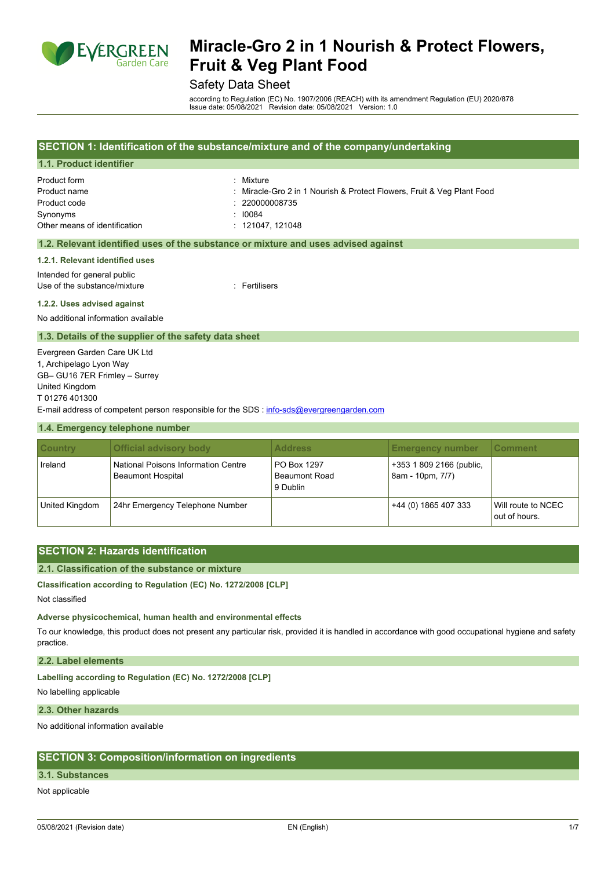

# Safety Data Sheet

according to Regulation (EC) No. 1907/2006 (REACH) with its amendment Regulation (EU) 2020/878 Issue date: 05/08/2021 Revision date: 05/08/2021 Version: 1.0

| SECTION 1: Identification of the substance/mixture and of the company/undertaking |                                                                                    |  |
|-----------------------------------------------------------------------------------|------------------------------------------------------------------------------------|--|
| 1.1. Product identifier                                                           |                                                                                    |  |
| Product form                                                                      | : Mixture                                                                          |  |
| Product name                                                                      | : Miracle-Gro 2 in 1 Nourish & Protect Flowers, Fruit & Veg Plant Food             |  |
| Product code                                                                      | : 220000008735                                                                     |  |
| Synonyms                                                                          | : 10084                                                                            |  |
| Other means of identification                                                     | : 121047.121048                                                                    |  |
|                                                                                   |                                                                                    |  |
|                                                                                   | 1.2. Relevant identified uses of the substance or mixture and uses advised against |  |

#### **1.2.1. Relevant identified uses**

Intended for general public

Use of the substance/mixture in the substance of the substance of the substance of the substance of the substance of the substance of the substance of the substance of the substance of the substance of the substance of the

#### **1.2.2. Uses advised against**

No additional information available

#### **1.3. Details of the supplier of the safety data sheet**

Evergreen Garden Care UK Ltd 1, Archipelago Lyon Way GB– GU16 7ER Frimley – Surrey United Kingdom T 01276 401300 E-mail address of competent person responsible for the SDS : [info-sds@evergreengarden.com](mailto:info-sds@evergreengarden.com)

#### **1.4. Emergency telephone number**

| <b>Country</b> | <b>Official advisory body</b>                                   | <b>Address</b>                                  | <b>Emergency number</b>                      | <b>Comment</b>                      |
|----------------|-----------------------------------------------------------------|-------------------------------------------------|----------------------------------------------|-------------------------------------|
| Ireland        | National Poisons Information Centre<br><b>Beaumont Hospital</b> | PO Box 1297<br><b>Beaumont Road</b><br>9 Dublin | +353 1 809 2166 (public,<br>8am - 10pm, 7/7) |                                     |
| United Kingdom | 24hr Emergency Telephone Number                                 |                                                 | +44 (0) 1865 407 333                         | Will route to NCEC<br>out of hours. |

### **SECTION 2: Hazards identification**

#### **2.1. Classification of the substance or mixture**

**Classification according to Regulation (EC) No. 1272/2008 [CLP]**

Not classified

#### **Adverse physicochemical, human health and environmental effects**

To our knowledge, this product does not present any particular risk, provided it is handled in accordance with good occupational hygiene and safety practice.

### **2.2. Label elements**

**Labelling according to Regulation (EC) No. 1272/2008 [CLP]**

No labelling applicable

#### **2.3. Other hazards**

No additional information available

# **SECTION 3: Composition/information on ingredients**

#### **3.1. Substances**

Not applicable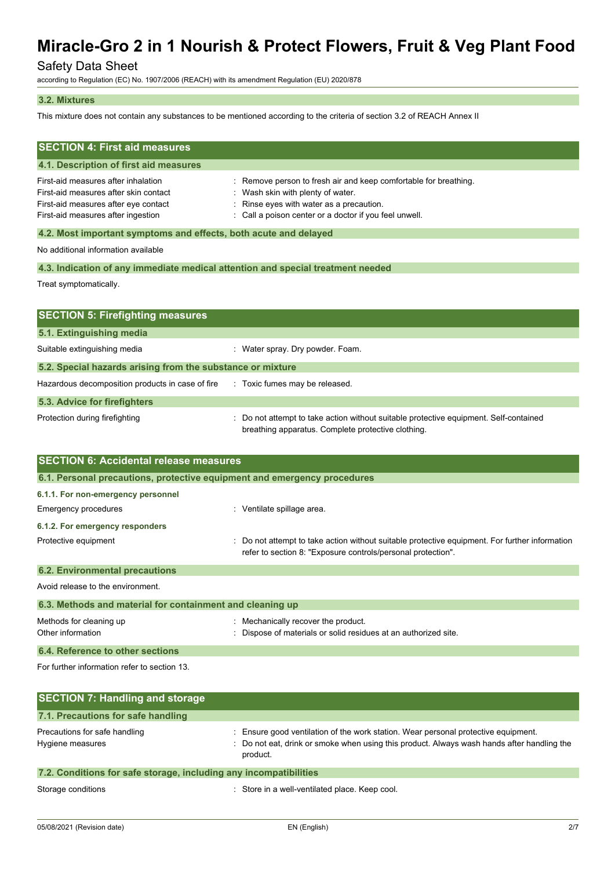# Safety Data Sheet

according to Regulation (EC) No. 1907/2006 (REACH) with its amendment Regulation (EU) 2020/878

#### **3.2. Mixtures**

This mixture does not contain any substances to be mentioned according to the criteria of section 3.2 of REACH Annex II

| <b>SECTION 4: First aid measures</b>                                                                                                                       |                                                                                                                                                                                                           |  |
|------------------------------------------------------------------------------------------------------------------------------------------------------------|-----------------------------------------------------------------------------------------------------------------------------------------------------------------------------------------------------------|--|
| 4.1. Description of first aid measures                                                                                                                     |                                                                                                                                                                                                           |  |
| First-aid measures after inhalation<br>First-aid measures after skin contact<br>First-aid measures after eye contact<br>First-aid measures after ingestion | : Remove person to fresh air and keep comfortable for breathing.<br>: Wash skin with plenty of water.<br>: Rinse eyes with water as a precaution.<br>Call a poison center or a doctor if you feel unwell. |  |
| 4.2. Most important symptoms and effects, both acute and delayed                                                                                           |                                                                                                                                                                                                           |  |
| No additional information available                                                                                                                        |                                                                                                                                                                                                           |  |
| 4.3. Indication of any immediate medical attention and special treatment needed                                                                            |                                                                                                                                                                                                           |  |
| Treat symptomatically.                                                                                                                                     |                                                                                                                                                                                                           |  |
| <b>SECTION 5: Firefighting measures</b>                                                                                                                    |                                                                                                                                                                                                           |  |
| 5.1. Extinguishing media                                                                                                                                   |                                                                                                                                                                                                           |  |
| Suitable extinguishing media                                                                                                                               | : Water spray. Dry powder. Foam.                                                                                                                                                                          |  |
| 5.2. Special hazards arising from the substance or mixture                                                                                                 |                                                                                                                                                                                                           |  |
| Hazardous decomposition products in case of fire                                                                                                           | : Toxic fumes may be released.                                                                                                                                                                            |  |
| 5.3. Advice for firefighters                                                                                                                               |                                                                                                                                                                                                           |  |
| Protection during firefighting                                                                                                                             | Do not attempt to take action without suitable protective equipment. Self-contained<br>breathing apparatus. Complete protective clothing.                                                                 |  |
| <b>SECTION 6: Accidental release measures</b>                                                                                                              |                                                                                                                                                                                                           |  |
| 6.1. Personal precautions, protective equipment and emergency procedures                                                                                   |                                                                                                                                                                                                           |  |
| 6.1.1. For non-emergency personnel                                                                                                                         |                                                                                                                                                                                                           |  |

| Emergency procedures                  | Ventilate spillage area.                                                                                                                                       |
|---------------------------------------|----------------------------------------------------------------------------------------------------------------------------------------------------------------|
| 6.1.2. For emergency responders       |                                                                                                                                                                |
| Protective equipment                  | : Do not attempt to take action without suitable protective equipment. For further information<br>refer to section 8: "Exposure controls/personal protection". |
| <b>6.2. Environmental precautions</b> |                                                                                                                                                                |

Avoid release to the environment. **6.3. Methods and material for containment and cleaning up** Methods for cleaning up **interpretially recover the product.** Mechanically recover the product. Other information **intervals and the Contract of Materials or solid residues at an authorized site. 6.4. Reference to other sections**

For further information refer to section 13.

| <b>SECTION 7: Handling and storage</b>                            |                                                                                                                                                                                              |
|-------------------------------------------------------------------|----------------------------------------------------------------------------------------------------------------------------------------------------------------------------------------------|
| 7.1. Precautions for safe handling                                |                                                                                                                                                                                              |
| Precautions for safe handling<br>Hygiene measures                 | : Ensure good ventilation of the work station. Wear personal protective equipment.<br>: Do not eat, drink or smoke when using this product. Always wash hands after handling the<br>product. |
| 7.2. Conditions for safe storage, including any incompatibilities |                                                                                                                                                                                              |

Storage conditions **Storage conditions** : Store in a well-ventilated place. Keep cool.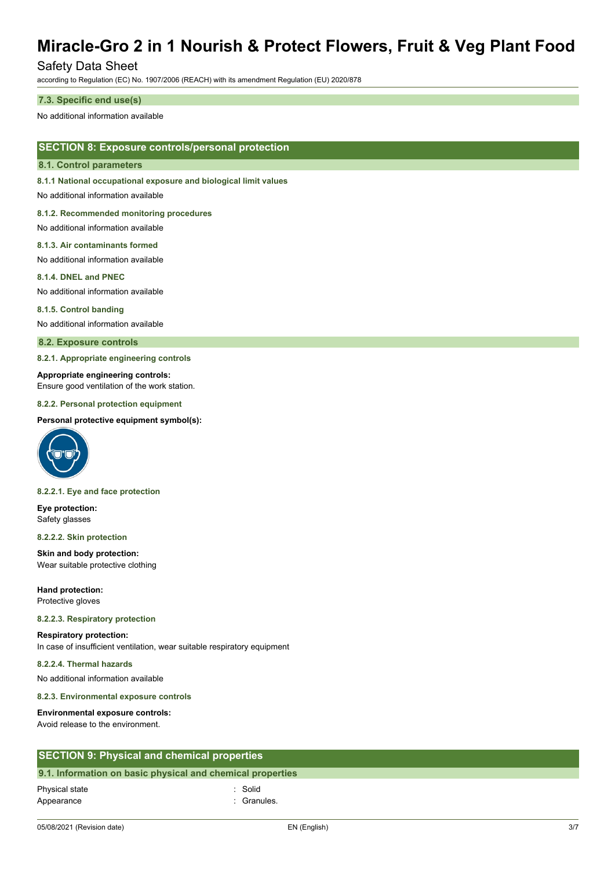# Safety Data Sheet

according to Regulation (EC) No. 1907/2006 (REACH) with its amendment Regulation (EU) 2020/878

#### **7.3. Specific end use(s)**

No additional information available

## **SECTION 8: Exposure controls/personal protection**

#### **8.1. Control parameters**

**8.1.1 National occupational exposure and biological limit values**

No additional information available

#### **8.1.2. Recommended monitoring procedures**

No additional information available

#### **8.1.3. Air contaminants formed**

No additional information available

#### **8.1.4. DNEL and PNEC**

No additional information available

#### **8.1.5. Control banding**

No additional information available

#### **8.2. Exposure controls**

**8.2.1. Appropriate engineering controls**

#### **Appropriate engineering controls:**

Ensure good ventilation of the work station.

#### **8.2.2. Personal protection equipment**

#### **Personal protective equipment symbol(s):**



#### **8.2.2.1. Eye and face protection**

**Eye protection:** Safety glasses

#### **8.2.2.2. Skin protection**

**Skin and body protection:** Wear suitable protective clothing

**Hand protection:** Protective gloves

#### **8.2.2.3. Respiratory protection**

# **Respiratory protection:**

In case of insufficient ventilation, wear suitable respiratory equipment

### **8.2.2.4. Thermal hazards**

No additional information available

#### **8.2.3. Environmental exposure controls**

#### **Environmental exposure controls:**

Avoid release to the environment.

## **SECTION 9: Physical and chemical properties**

#### **9.1. Information on basic physical and chemical properties**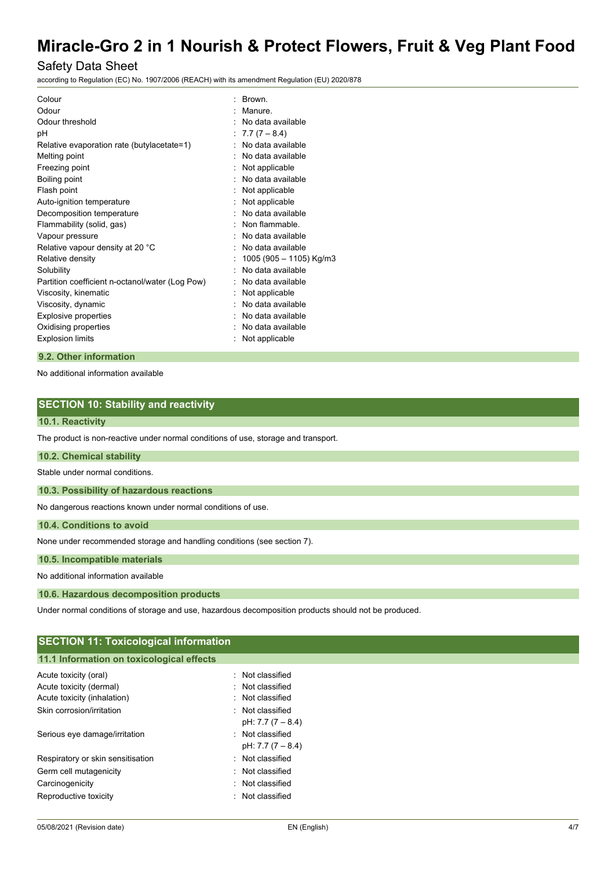# Safety Data Sheet

according to Regulation (EC) No. 1907/2006 (REACH) with its amendment Regulation (EU) 2020/878

| Colour                                          | <b>Brown</b>            |
|-------------------------------------------------|-------------------------|
| Odour                                           | Manure.                 |
| Odour threshold                                 | No data available       |
| рH                                              | $7.7(7 - 8.4)$          |
| Relative evaporation rate (butylacetate=1)      | No data available       |
| Melting point                                   | No data available       |
| Freezing point                                  | Not applicable          |
| Boiling point                                   | No data available       |
| Flash point                                     | Not applicable          |
| Auto-ignition temperature                       | Not applicable          |
| Decomposition temperature                       | No data available       |
| Flammability (solid, gas)                       | Non flammable.          |
| Vapour pressure                                 | No data available       |
| Relative vapour density at 20 °C                | No data available       |
| Relative density                                | 1005 (905 - 1105) Kg/m3 |
| Solubility                                      | No data available       |
| Partition coefficient n-octanol/water (Log Pow) | No data available       |
| Viscosity, kinematic                            | Not applicable          |
| Viscosity, dynamic                              | No data available       |
| <b>Explosive properties</b>                     | No data available       |
| Oxidising properties                            | No data available       |
| <b>Explosion limits</b>                         | Not applicable          |
|                                                 |                         |

### **9.2. Other information**

No additional information available

|  |  | <b>SECTION 10: Stability and reactivity</b> |  |
|--|--|---------------------------------------------|--|
|--|--|---------------------------------------------|--|

#### **10.1. Reactivity**

The product is non-reactive under normal conditions of use, storage and transport.

#### **10.2. Chemical stability**

Stable under normal conditions.

**10.3. Possibility of hazardous reactions**

No dangerous reactions known under normal conditions of use.

### **10.4. Conditions to avoid**

None under recommended storage and handling conditions (see section 7).

# **10.5. Incompatible materials**

No additional information available

### **10.6. Hazardous decomposition products**

Under normal conditions of storage and use, hazardous decomposition products should not be produced.

# **SECTION 11: Toxicological information**

## **11.1 Information on toxicological effects**

| Acute toxicity (oral)             | . Not classified   |
|-----------------------------------|--------------------|
| Acute toxicity (dermal)           | . Not classified   |
| Acute toxicity (inhalation)       | : Not classified   |
| Skin corrosion/irritation         | . Not classified   |
|                                   | pH: $7.7(7 - 8.4)$ |
| Serious eye damage/irritation     | Not classified     |
|                                   | pH: 7.7 (7 – 8.4)  |
| Respiratory or skin sensitisation | Not classified     |
| Germ cell mutagenicity            | Not classified     |
| Carcinogenicity                   | Not classified     |
| Reproductive toxicity             | . Not classified   |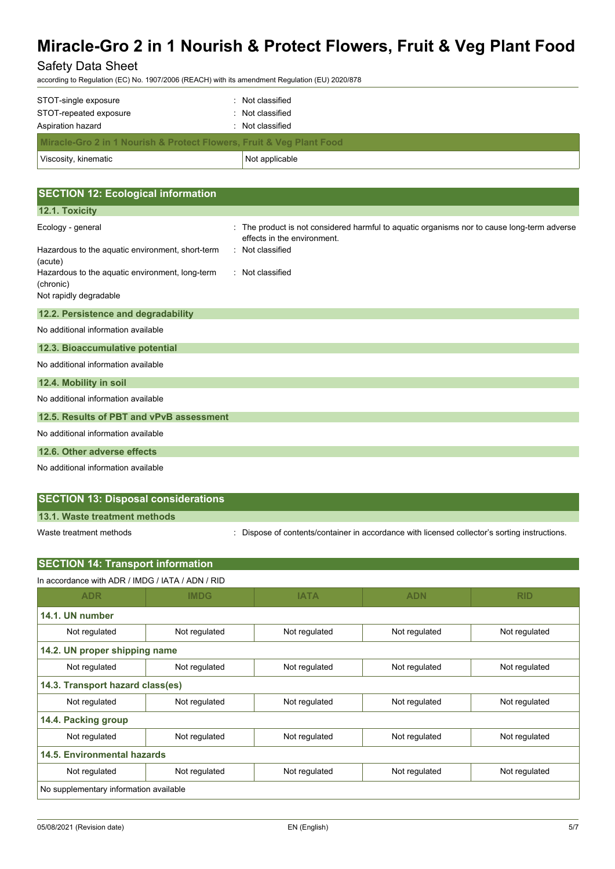# Safety Data Sheet

according to Regulation (EC) No. 1907/2006 (REACH) with its amendment Regulation (EU) 2020/878

| Viscosity, kinematic                                                                | Not applicable   |  |
|-------------------------------------------------------------------------------------|------------------|--|
| <b>Miracle-Gro 2 in 1 Nourish &amp; Protect Flowers, Fruit &amp; Veg Plant Food</b> |                  |  |
| Aspiration hazard                                                                   | : Not classified |  |
| STOT-repeated exposure                                                              | : Not classified |  |
| STOT-single exposure                                                                | : Not classified |  |

| <b>SECTION 12: Ecological information</b>                    |                                                                                                                          |
|--------------------------------------------------------------|--------------------------------------------------------------------------------------------------------------------------|
| 12.1. Toxicity                                               |                                                                                                                          |
| Ecology - general                                            | The product is not considered harmful to aquatic organisms nor to cause long-term adverse<br>effects in the environment. |
| Hazardous to the aquatic environment, short-term<br>(acute)  | : Not classified                                                                                                         |
| Hazardous to the aquatic environment, long-term<br>(chronic) | : Not classified                                                                                                         |
| Not rapidly degradable                                       |                                                                                                                          |
| 12.2. Persistence and degradability                          |                                                                                                                          |
| No additional information available                          |                                                                                                                          |
| 12.3. Bioaccumulative potential                              |                                                                                                                          |
| No additional information available                          |                                                                                                                          |
| 12.4. Mobility in soil                                       |                                                                                                                          |
| No additional information available                          |                                                                                                                          |
| 12.5. Results of PBT and vPvB assessment                     |                                                                                                                          |
| No additional information available                          |                                                                                                                          |
| 12.6. Other adverse effects                                  |                                                                                                                          |
| No additional information available                          |                                                                                                                          |

# **SECTION 13: Disposal considerations**

**13.1. Waste treatment methods**

**SECTION 14: Transport information**

Waste treatment methods : Dispose of contents/container in accordance with licensed collector's sorting instructions.

| SECTION 14: Transport Information                |               |               |               |               |
|--------------------------------------------------|---------------|---------------|---------------|---------------|
| In accordance with ADR / IMDG / IATA / ADN / RID |               |               |               |               |
| <b>ADR</b>                                       | <b>IMDG</b>   | <b>IATA</b>   | <b>ADN</b>    | <b>RID</b>    |
| 14.1. UN number                                  |               |               |               |               |
| Not regulated                                    | Not regulated | Not regulated | Not regulated | Not regulated |
| 14.2. UN proper shipping name                    |               |               |               |               |
| Not regulated                                    | Not regulated | Not regulated | Not regulated | Not regulated |
| 14.3. Transport hazard class(es)                 |               |               |               |               |
| Not regulated                                    | Not regulated | Not regulated | Not regulated | Not regulated |
| 14.4. Packing group                              |               |               |               |               |
| Not regulated                                    | Not regulated | Not regulated | Not regulated | Not regulated |
| <b>14.5. Environmental hazards</b>               |               |               |               |               |
| Not regulated                                    | Not regulated | Not regulated | Not regulated | Not regulated |
| No supplementary information available           |               |               |               |               |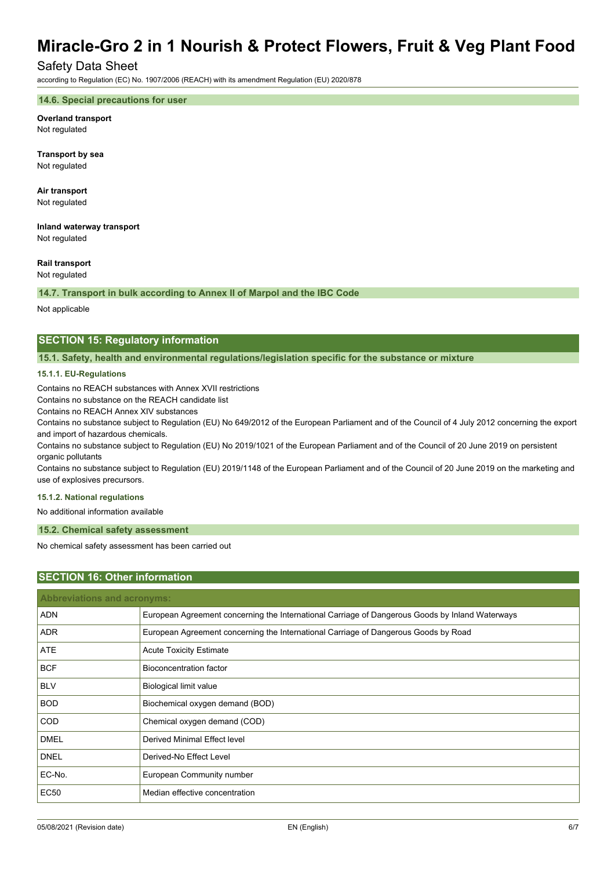## Safety Data Sheet

according to Regulation (EC) No. 1907/2006 (REACH) with its amendment Regulation (EU) 2020/878

#### **14.6. Special precautions for user**

**Overland transport** Not regulated

**Transport by sea** Not regulated

**Air transport** Not regulated

**Inland waterway transport**

Not regulated

#### **Rail transport**

Not regulated

**14.7. Transport in bulk according to Annex II of Marpol and the IBC Code**

Not applicable

## **SECTION 15: Regulatory information**

**15.1. Safety, health and environmental regulations/legislation specific for the substance or mixture**

#### **15.1.1. EU-Regulations**

Contains no REACH substances with Annex XVII restrictions

Contains no substance on the REACH candidate list

Contains no REACH Annex XIV substances

Contains no substance subject to Regulation (EU) No 649/2012 of the European Parliament and of the Council of 4 July 2012 concerning the export and import of hazardous chemicals.

Contains no substance subject to Regulation (EU) No 2019/1021 of the European Parliament and of the Council of 20 June 2019 on persistent organic pollutants

Contains no substance subject to Regulation (EU) 2019/1148 of the European Parliament and of the Council of 20 June 2019 on the marketing and use of explosives precursors.

#### **15.1.2. National regulations**

No additional information available

#### **15.2. Chemical safety assessment**

No chemical safety assessment has been carried out

### **SECTION 16: Other information**

| <b>Abbreviations and acronyms:</b> |                                                                                                 |  |
|------------------------------------|-------------------------------------------------------------------------------------------------|--|
| <b>ADN</b>                         | European Agreement concerning the International Carriage of Dangerous Goods by Inland Waterways |  |
| <b>ADR</b>                         | European Agreement concerning the International Carriage of Dangerous Goods by Road             |  |
| <b>ATE</b>                         | <b>Acute Toxicity Estimate</b>                                                                  |  |
| <b>BCF</b>                         | Bioconcentration factor                                                                         |  |
| <b>BLV</b>                         | Biological limit value                                                                          |  |
| <b>BOD</b>                         | Biochemical oxygen demand (BOD)                                                                 |  |
| <b>COD</b>                         | Chemical oxygen demand (COD)                                                                    |  |
| <b>DMEL</b>                        | Derived Minimal Effect level                                                                    |  |
| <b>DNEL</b>                        | Derived-No Effect Level                                                                         |  |
| EC-No.                             | European Community number                                                                       |  |
| <b>EC50</b>                        | Median effective concentration                                                                  |  |